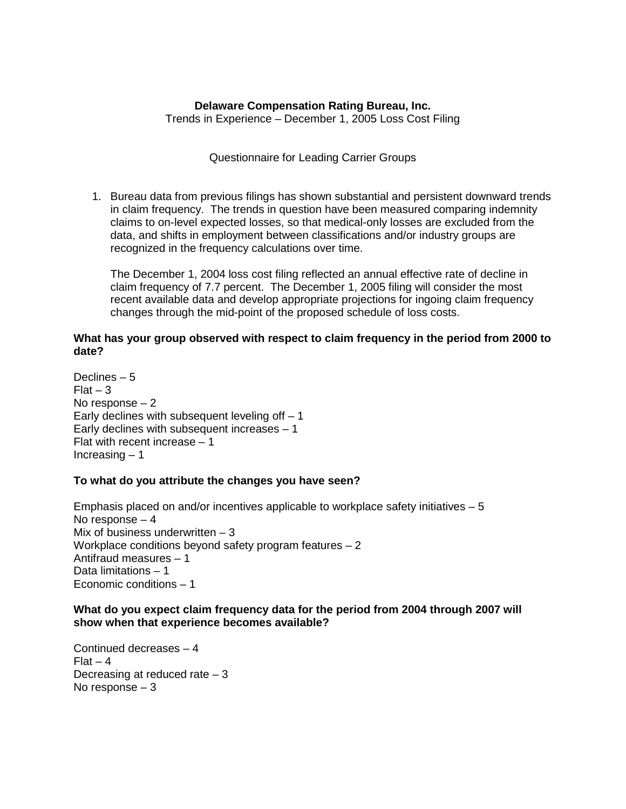# **Delaware Compensation Rating Bureau, Inc.**

Trends in Experience – December 1, 2005 Loss Cost Filing

### Questionnaire for Leading Carrier Groups

1. Bureau data from previous filings has shown substantial and persistent downward trends in claim frequency. The trends in question have been measured comparing indemnity claims to on-level expected losses, so that medical-only losses are excluded from the data, and shifts in employment between classifications and/or industry groups are recognized in the frequency calculations over time.

The December 1, 2004 loss cost filing reflected an annual effective rate of decline in claim frequency of 7.7 percent. The December 1, 2005 filing will consider the most recent available data and develop appropriate projections for ingoing claim frequency changes through the mid-point of the proposed schedule of loss costs.

### **What has your group observed with respect to claim frequency in the period from 2000 to date?**

Declines – 5  $Flat - 3$ No response – 2 Early declines with subsequent leveling off  $-1$ Early declines with subsequent increases  $-1$ Flat with recent increase – 1 Increasing – 1

# **To what do you attribute the changes you have seen?**

Emphasis placed on and/or incentives applicable to workplace safety initiatives  $-5$ No response – 4 Mix of business underwritten  $-3$ Workplace conditions beyond safety program features – 2 Antifraud measures – 1 Data limitations – 1 Economic conditions – 1

# **What do you expect claim frequency data for the period from 2004 through 2007 will show when that experience becomes available?**

Continued decreases – 4  $Flat - 4$ Decreasing at reduced rate – 3 No response – 3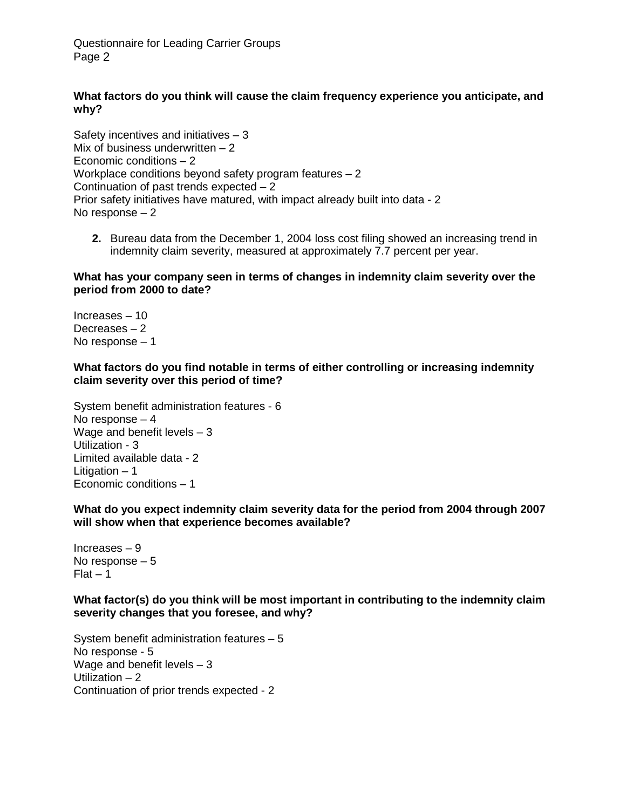Questionnaire for Leading Carrier Groups Page 2

# **What factors do you think will cause the claim frequency experience you anticipate, and why?**

Safety incentives and initiatives – 3 Mix of business underwritten  $-2$ Economic conditions – 2 Workplace conditions beyond safety program features  $-2$ Continuation of past trends expected – 2 Prior safety initiatives have matured, with impact already built into data - 2 No response – 2

**2.** Bureau data from the December 1, 2004 loss cost filing showed an increasing trend in indemnity claim severity, measured at approximately 7.7 percent per year.

#### **What has your company seen in terms of changes in indemnity claim severity over the period from 2000 to date?**

Increases – 10 Decreases – 2 No response – 1

#### **What factors do you find notable in terms of either controlling or increasing indemnity claim severity over this period of time?**

System benefit administration features - 6 No response – 4 Wage and benefit levels  $-3$ Utilization - 3 Limited available data - 2 Litigation  $-1$ Economic conditions – 1

**What do you expect indemnity claim severity data for the period from 2004 through 2007 will show when that experience becomes available?** 

Increases – 9 No response – 5  $Flat - 1$ 

**What factor(s) do you think will be most important in contributing to the indemnity claim severity changes that you foresee, and why?** 

System benefit administration features – 5 No response - 5 Wage and benefit levels – 3 Utilization – 2 Continuation of prior trends expected - 2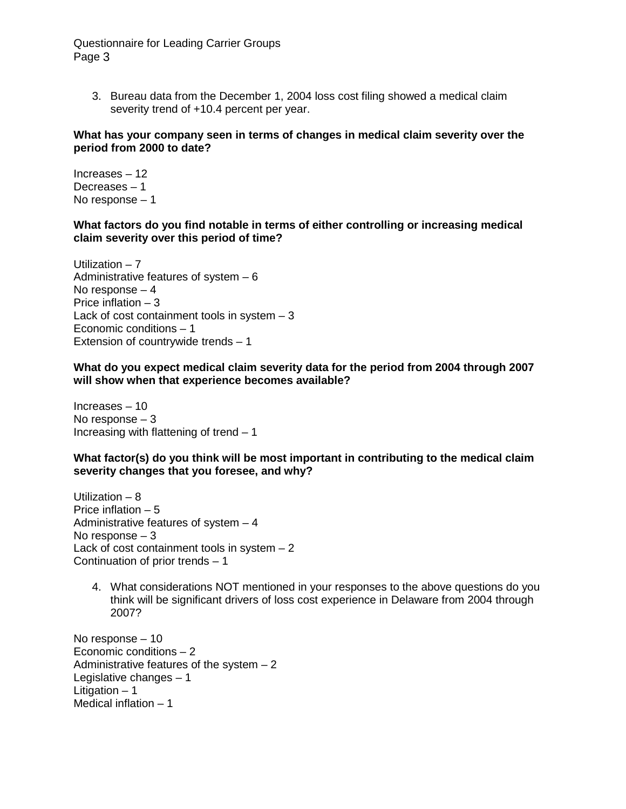Questionnaire for Leading Carrier Groups Page 3

3. Bureau data from the December 1, 2004 loss cost filing showed a medical claim severity trend of  $+10.4$  percent per year.

#### **What has your company seen in terms of changes in medical claim severity over the period from 2000 to date?**

Increases – 12 Decreases – 1 No response – 1

### **What factors do you find notable in terms of either controlling or increasing medical claim severity over this period of time?**

Utilization  $-7$ Administrative features of system  $-6$ No response – 4 Price inflation – 3 Lack of cost containment tools in system  $-3$ Economic conditions – 1 Extension of countrywide trends – 1

**What do you expect medical claim severity data for the period from 2004 through 2007 will show when that experience becomes available?** 

Increases – 10 No response – 3 Increasing with flattening of trend  $-1$ 

**What factor(s) do you think will be most important in contributing to the medical claim severity changes that you foresee, and why?** 

Utilization – 8 Price inflation – 5 Administrative features of system – 4 No response – 3 Lack of cost containment tools in system  $-2$ Continuation of prior trends – 1

4. What considerations NOT mentioned in your responses to the above questions do you think will be significant drivers of loss cost experience in Delaware from 2004 through 2007?

No response – 10 Economic conditions – 2 Administrative features of the system  $-2$ Legislative changes – 1 Litigation  $-1$ Medical inflation – 1